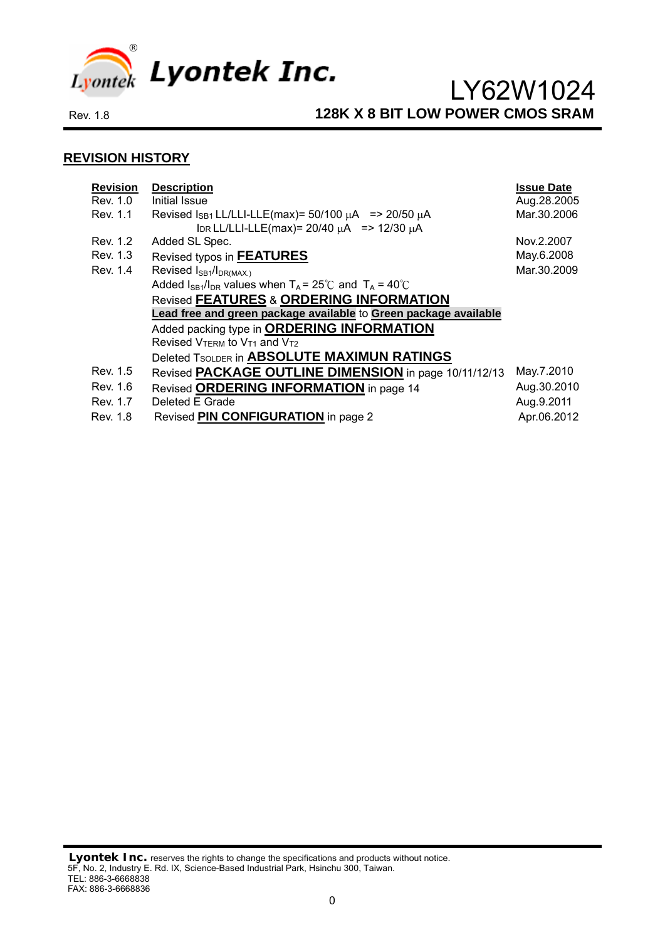

#### **REVISION HISTORY**

| <b>Revision</b><br>Rev. 1.0 | <b>Description</b><br>Initial Issue                                                                                      | <b>Issue Date</b><br>Aug.28.2005 |
|-----------------------------|--------------------------------------------------------------------------------------------------------------------------|----------------------------------|
| Rev. 1.1                    | Revised $\log_1$ LL/LLI-LLE(max)= 50/100 $\mu$ A => 20/50 $\mu$ A<br>IDR LL/LLI-LLE(max)= $20/40 \mu A$ => 12/30 $\mu A$ | Mar.30.2006                      |
| Rev. 1.2                    | Added SL Spec.                                                                                                           | Nov.2.2007                       |
| Rev. 1.3                    | Revised typos in FEATURES                                                                                                | May.6.2008                       |
| Rev. 1.4                    | Revised I <sub>SB1</sub> /I <sub>DR(MAX.)</sub>                                                                          | Mar.30.2009                      |
|                             | Added $I_{SB1}/I_{DR}$ values when $T_A = 25^{\circ}C$ and $T_A = 40^{\circ}C$                                           |                                  |
|                             | <b>Revised FEATURES &amp; ORDERING INFORMATION</b>                                                                       |                                  |
|                             | Lead free and green package available to Green package available                                                         |                                  |
|                             | Added packing type in <b>ORDERING INFORMATION</b>                                                                        |                                  |
|                             | Revised VTERM to V <sub>T1</sub> and V <sub>T2</sub>                                                                     |                                  |
|                             | Deleted TSOLDER in ABSOLUTE MAXIMUN RATINGS                                                                              |                                  |
| Rev. 1.5                    | Revised PACKAGE OUTLINE DIMENSION in page 10/11/12/13                                                                    | May.7.2010                       |
| Rev. 1.6                    | Revised ORDERING INFORMATION in page 14                                                                                  | Aug.30.2010                      |
| Rev. 1.7                    | Deleted E Grade                                                                                                          | Aug.9.2011                       |
| Rev. 1.8                    | Revised <b>PIN CONFIGURATION</b> in page 2                                                                               | Apr.06.2012                      |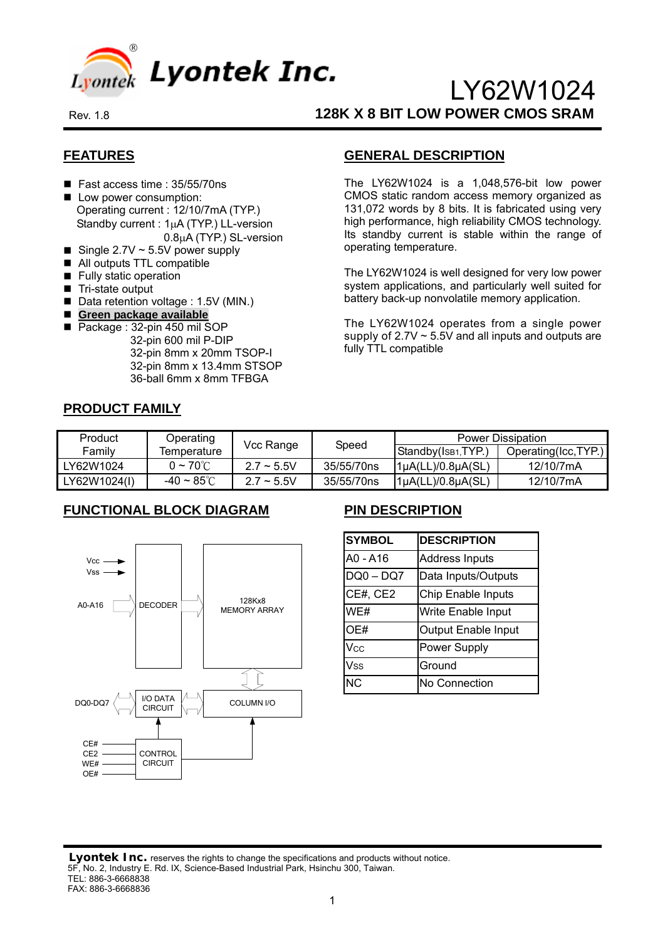

## **FEATURES**

- Fast access time : 35/55/70ns
- **Low power consumption:** Operating current : 12/10/7mA (TYP.) Standby current : 1μA (TYP.) LL-version 0.8μA (TYP.) SL-version
- Single  $2.7V \sim 5.5V$  power supply
- All outputs TTL compatible
- **Fully static operation**
- Tri-state output
- Data retention voltage : 1.5V (MIN.)
- **Green package available**
- Package : 32-pin 450 mil SOP 32-pin 600 mil P-DIP 32-pin 8mm x 20mm TSOP-I 32-pin 8mm x 13.4mm STSOP 36-ball 6mm x 8mm TFBGA

### **GENERAL DESCRIPTION**

The LY62W1024 is a 1,048,576-bit low power CMOS static random access memory organized as 131,072 words by 8 bits. It is fabricated using very high performance, high reliability CMOS technology. Its standby current is stable within the range of operating temperature.

The LY62W1024 is well designed for very low power system applications, and particularly well suited for battery back-up nonvolatile memory application.

The LY62W1024 operates from a single power supply of  $2.7V \sim 5.5V$  and all inputs and outputs are fully TTL compatible

### **PRODUCT FAMILY**

| Product      | Operating               |                 | Speed      | <b>Power Dissipation</b>       |                      |  |  |
|--------------|-------------------------|-----------------|------------|--------------------------------|----------------------|--|--|
| Family       | Temperature             | Vcc Range       |            | Standby(IsB <sub>1</sub> ,TYP. | Operating(Icc, TYP.) |  |  |
| LY62W1024    | $0 \sim 70^{\circ}$ C . | $2.7 \sim 5.5V$ | 35/55/70ns | $1\mu A(LL)/0.8\mu A(SL)$      | 12/10/7mA            |  |  |
| LY62W1024(I) | -40 $\sim$ 85°C         | $2.7 \sim 5.5V$ | 35/55/70ns | $1\mu$ A(LL)/0.8 $\mu$ A(SL)   | 12/10/7mA            |  |  |

### **FUNCTIONAL BLOCK DIAGRAM**



## **PIN DESCRIPTION**

| <b>SYMBOL</b> | <b>DESCRIPTION</b>         |
|---------------|----------------------------|
| A0 - A16      | <b>Address Inputs</b>      |
| $DQ0 - DQ7$   | Data Inputs/Outputs        |
| CE#, CE2      | Chip Enable Inputs         |
| WE#           | Write Enable Input         |
| OE#           | <b>Output Enable Input</b> |
| Vcc           | Power Supply               |
| <b>Vss</b>    | Ground                     |
| <b>NC</b>     | No Connection              |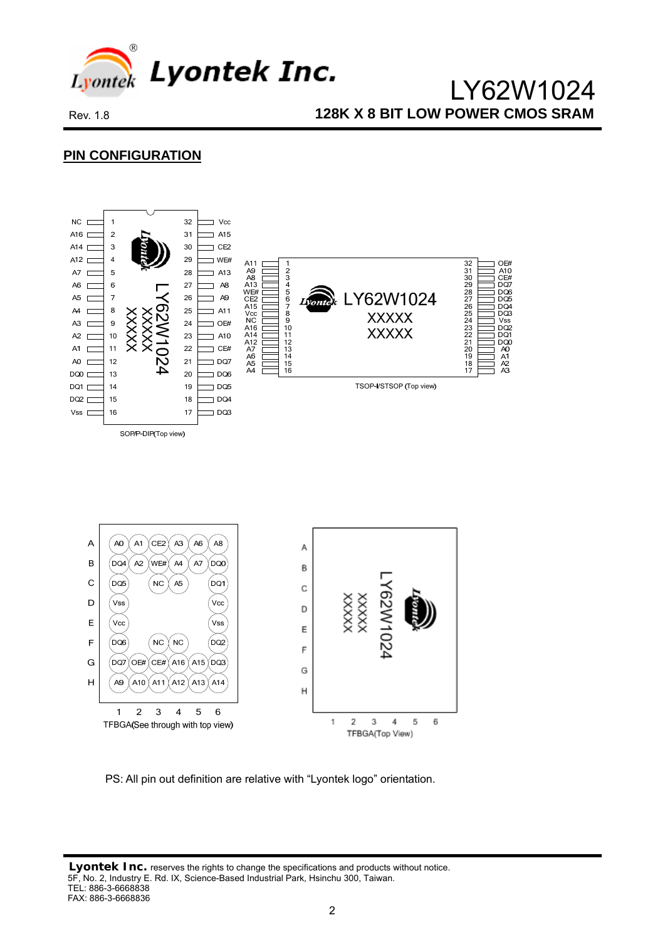

 $\overline{H}$ 

A<sub>9</sub>  $A1C$ A11

 $\mathbf{1}$  $\overline{2}$  $\mathbf{3}$  $\overline{4}$ 5  $6\phantom{a}$ 

 $A13$ A14

A<sub>12</sub>

TFBGA(See through with top view)

 LY62W1024 Rev. 1.8 **128K X 8 BIT LOW POWER CMOS SRAM** 

### **PIN CONFIGURATION**



PS: All pin out definition are relative with "Lyontek logo" orientation.

 $\mathsf{H}$ 

 $\overline{2}$ 

 $\mathcal{R}$  $\overline{A}$ 5

TFBGA(Top View)

 $\overline{1}$ 

6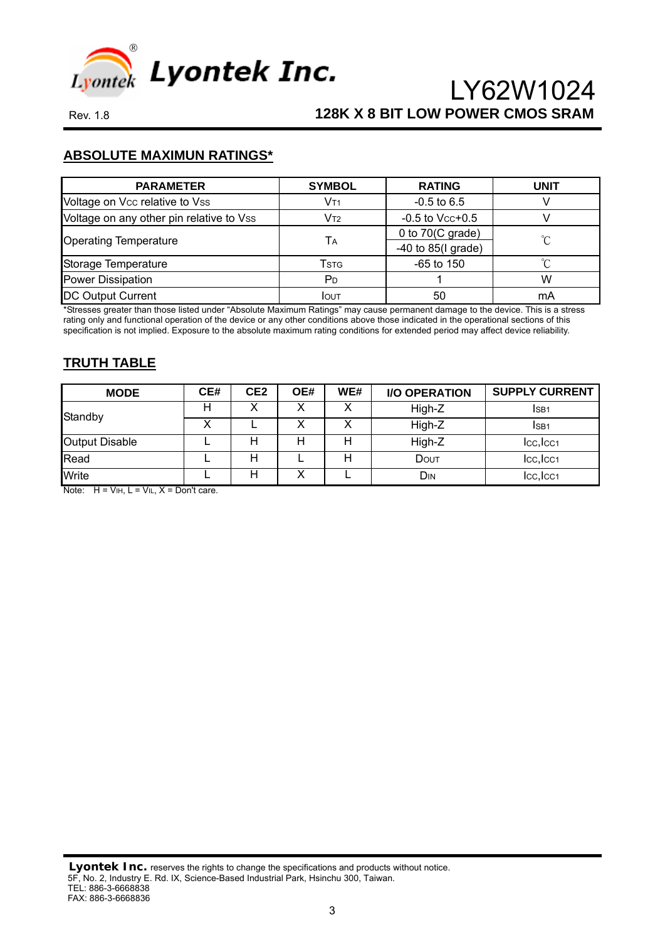

## **ABSOLUTE MAXIMUN RATINGS\***

| <b>PARAMETER</b>                         | <b>SYMBOL</b>  | <b>RATING</b>              | <b>UNIT</b>  |
|------------------------------------------|----------------|----------------------------|--------------|
| Voltage on Vcc relative to Vss           | Vt1            | $-0.5$ to 6.5              |              |
| Voltage on any other pin relative to Vss | Vt2            | $-0.5$ to Vcc $+0.5$       |              |
|                                          |                | 0 to $70(C \text{ grade})$ | $^{\circ}$ C |
| <b>Operating Temperature</b>             | Tд             | $-40$ to 85(I grade)       |              |
| Storage Temperature                      | Tstg           | $-65$ to 150               | ∽            |
| <b>Power Dissipation</b>                 | P <sub>D</sub> |                            | W            |
| <b>DC Output Current</b>                 | <b>I</b> OUT   | 50                         | mA           |

\*Stresses greater than those listed under "Absolute Maximum Ratings" may cause permanent damage to the device. This is a stress rating only and functional operation of the device or any other conditions above those indicated in the operational sections of this specification is not implied. Exposure to the absolute maximum rating conditions for extended period may affect device reliability.

#### **TRUTH TABLE**

| <b>MODE</b>           | CE# | CE <sub>2</sub> | OE# | WE# | <b>I/O OPERATION</b> | <b>SUPPLY CURRENT</b> |
|-----------------------|-----|-----------------|-----|-----|----------------------|-----------------------|
| Standby               | н   |                 |     |     | High-Z               | ISB <sub>1</sub>      |
|                       |     |                 |     |     | High-Z               | ISB <sub>1</sub>      |
| <b>Output Disable</b> |     |                 | н   |     | High-Z               | lcc,lcc <sub>1</sub>  |
| Read                  |     | н               |     |     | DOUT                 | Icc, Icc1             |
| Write<br>.            |     |                 |     |     | DIN                  | lcc,lcc <sub>1</sub>  |

Note:  $H = V_{HH}$ ,  $L = V_{HL}$ ,  $X = Don't$  care.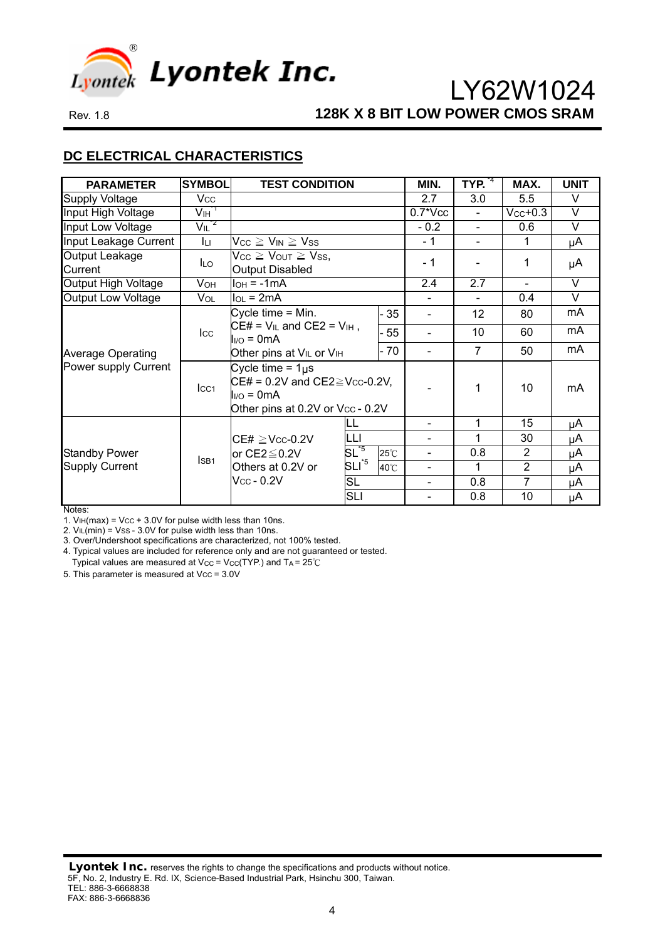

## **DC ELECTRICAL CHARACTERISTICS**

| <b>PARAMETER</b>          | <b>SYMBOL</b>                | <b>TEST CONDITION</b>                                                                                                       |                |                | MIN.                     | TYP. <sup>4</sup> | MAX.           | <b>UNIT</b> |
|---------------------------|------------------------------|-----------------------------------------------------------------------------------------------------------------------------|----------------|----------------|--------------------------|-------------------|----------------|-------------|
| <b>Supply Voltage</b>     | Vcc                          |                                                                                                                             |                |                | 2.7                      | 3.0               | 5.5            | V           |
| Input High Voltage        | V <sub>IH</sub> <sup>1</sup> |                                                                                                                             |                |                | $0.7*Vec$                | $\sim$            | $Vcc+0.3$      | $\vee$      |
| Input Low Voltage         | $V_{IL}$ <sup>2</sup>        |                                                                                                                             |                |                | $-0.2$                   | $\blacksquare$    | 0.6            | $\vee$      |
| Input Leakage Current     | Iц                           | $Vcc \geq V_{IN} \geq Vss$                                                                                                  |                |                | $-1$                     |                   | 1              | μA          |
| Output Leakage<br>Current | <b>ILO</b>                   | $V_{CC} \geq V_{OUT} \geq V_{SS}$<br><b>Output Disabled</b>                                                                 |                |                | $-1$                     |                   | 1              | μA          |
| Output High Voltage       | <b>VOH</b>                   | $I_{OH} = -1mA$                                                                                                             |                |                | 2.4                      | 2.7               | $\blacksquare$ | $\vee$      |
| <b>Output Low Voltage</b> | VOL                          | $I_{OL} = 2mA$                                                                                                              |                |                |                          |                   | 0.4            | $\vee$      |
|                           |                              | Cycle time $=$ Min.                                                                                                         |                | 35             |                          | 12                | 80             | mA          |
|                           | $_{\rm lcc}$                 | $CE# = V_{IL}$ and $CE2 = V_{IH}$ ,<br>$I_{I/O} = 0mA$                                                                      |                | 55             |                          | 10                | 60             | mA          |
| <b>Average Operating</b>  |                              | Other pins at V <sub>IL</sub> or V <sub>IH</sub>                                                                            |                | - 70           |                          | $\overline{7}$    | 50             | mA          |
| Power supply Current      | $_{\text{LCA}}$              | Cycle time = $1\mu s$<br>$CE# = 0.2V$ and $CE2 \geq V_{CC} - 0.2V$ ,<br>$I_{I/O} = 0mA$<br>Other pins at 0.2V or Vcc - 0.2V |                |                | 1                        | 10                | mA             |             |
|                           |                              |                                                                                                                             | LL             |                |                          | 1                 | 15             | μA          |
|                           |                              | $CE# \geq$ Vcc-0.2V                                                                                                         | LLI            |                |                          | 1                 | 30             | μA          |
| <b>Standby Power</b>      | I <sub>SB1</sub>             | or $CE2 \leq 0.2V$                                                                                                          | $SL^{5}$       | $25^{\circ}$ C | $\overline{\phantom{0}}$ | 0.8               | $\overline{2}$ | μA          |
| <b>Supply Current</b>     |                              | Others at 0.2V or                                                                                                           | $SLI^{\ast 5}$ | 40°C           | $\overline{\phantom{0}}$ | 1                 | $\overline{2}$ | μA          |
|                           |                              | $V_{\rm CC}$ - 0.2V                                                                                                         | <b>SL</b>      |                | Ξ.                       | 0.8               | 7              | μA          |
|                           |                              |                                                                                                                             | <b>SLI</b>     |                |                          | 0.8               | 10             | μA          |

Notes:

1.  $V_{\text{IH}}$ (max) = V<sub>CC</sub> + 3.0V for pulse width less than 10ns.

2.  $VIL(min) = Vss - 3.0V$  for pulse width less than 10ns.

3. Over/Undershoot specifications are characterized, not 100% tested.

4. Typical values are included for reference only and are not guaranteed or tested. Typical values are measured at Vcc = Vcc(TYP.) and  $TA = 25^{\circ}C$ 

5. This parameter is measured at Vcc = 3.0V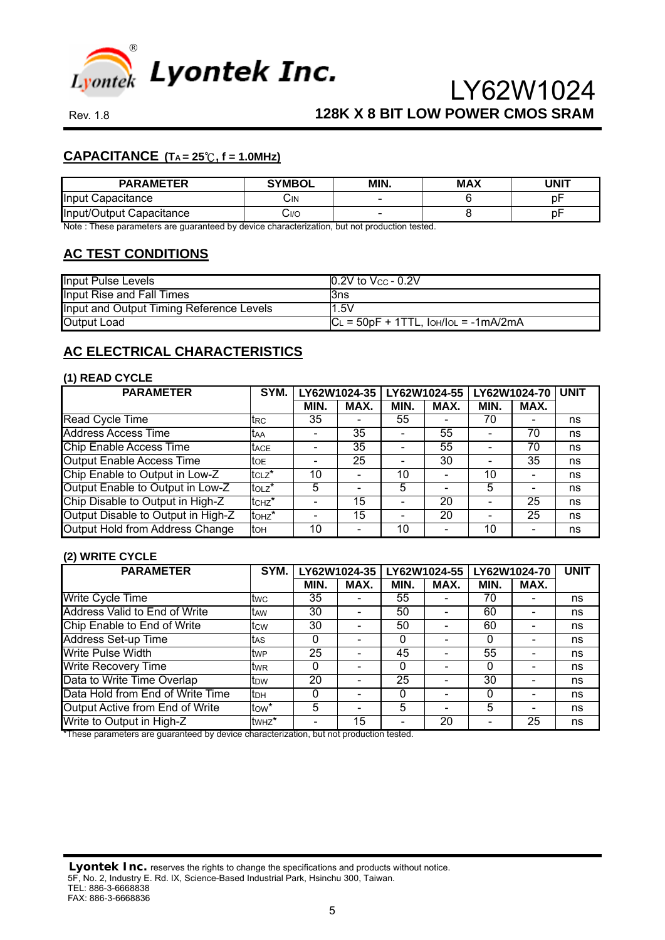

### $$

| <b>PARAMETER</b>         | <b>SYMBOL</b> | MIN. | <b>MAX</b> | <b>JNIT</b>      |
|--------------------------|---------------|------|------------|------------------|
| Input Capacitance        | ان.           | -    |            | $n_{\rm h}$<br>v |
| Input/Output Capacitance | 0/اپ          | -    |            | nl<br>v          |

Note : These parameters are guaranteed by device characterization, but not production tested.

### **AC TEST CONDITIONS**

| <b>Input Pulse Levels</b>                | $\vert 0.2V$ to $V_{CC}$ - 0.2V              |
|------------------------------------------|----------------------------------------------|
| Input Rise and Fall Times                | l3ns                                         |
| Input and Output Timing Reference Levels | 1.5V                                         |
| <b>Output Load</b>                       | $ C_L = 50pF + 1TTL$ , $ OH/IO_L = -1mA/2mA$ |

### **AC ELECTRICAL CHARACTERISTICS**

#### **(1) READ CYCLE**

| <b>PARAMETER</b>                       | SYM.               | LY62W1024-35 |      |                              | LY62W1024-55                 | LY62W1024-70 | <b>UNIT</b>                  |    |
|----------------------------------------|--------------------|--------------|------|------------------------------|------------------------------|--------------|------------------------------|----|
|                                        |                    | MIN.         | MAX. | MIN.                         | MAX.                         | MIN.         | MAX.                         |    |
| Read Cycle Time                        | trc                | 35           |      | 55                           | $\qquad \qquad \blacksquare$ | 70           |                              | ns |
| <b>Address Access Time</b>             | taa                |              | 35   |                              | 55                           |              | 70                           | ns |
| <b>Chip Enable Access Time</b>         | <b>t</b> ACE       |              | 35   |                              | 55                           |              | 70                           | ns |
| <b>Output Enable Access Time</b>       | toe.               |              | 25   | $\overline{\phantom{0}}$     | 30                           | -            | 35                           | ns |
| Chip Enable to Output in Low-Z         | $tcLz$ *           | 10           |      | 10                           |                              | 10           |                              | ns |
| Output Enable to Output in Low-Z       | $\mathsf{to}$      | 5            |      | 5                            | $\overline{\phantom{0}}$     | 5            | $\qquad \qquad \blacksquare$ | ns |
| Chip Disable to Output in High-Z       | tc <sub>Hz</sub> * |              | 15   | $\qquad \qquad \blacksquare$ | 20                           |              | 25                           | ns |
| Output Disable to Output in High-Z     | to <sub>Hz</sub> * |              | 15   |                              | 20                           |              | 25                           | ns |
| <b>Output Hold from Address Change</b> | tон                | 10           |      | 10                           | $\overline{\phantom{0}}$     | 10           | $\qquad \qquad$              | ns |

#### **(2) WRITE CYCLE**

| $\cdot$ $\cdot$<br><b>PARAMETER</b> | SYM.                   |      | LY62W1024-35 | LY62W1024-55 |                          | LY62W1024-70 |                          | <b>UNIT</b> |
|-------------------------------------|------------------------|------|--------------|--------------|--------------------------|--------------|--------------------------|-------------|
|                                     |                        | MIN. | MAX.         | MIN.         | MAX.                     | MIN.         | MAX.                     |             |
| <b>Write Cycle Time</b>             | twc                    | 35   |              | 55           |                          | 70           |                          | ns          |
| Address Valid to End of Write       | taw                    | 30   |              | 50           |                          | 60           |                          | ns          |
| Chip Enable to End of Write         | tcw                    | 30   |              | 50           |                          | 60           |                          | ns          |
| Address Set-up Time                 | tas                    | 0    |              | $\Omega$     | $\overline{\phantom{0}}$ | 0            | $\overline{\phantom{a}}$ | ns          |
| <b>Write Pulse Width</b>            | <b>twp</b>             | 25   |              | 45           |                          | 55           |                          | ns          |
| <b>Write Recovery Time</b>          | tw <sub>R</sub>        | 0    |              | 0            |                          | 0            |                          | ns          |
| Data to Write Time Overlap          | <b>t</b> <sub>DW</sub> | 20   |              | 25           |                          | 30           |                          | ns          |
| Data Hold from End of Write Time    | ltрн                   | 0    |              | <sup>0</sup> |                          | 0            |                          | ns          |
| Output Active from End of Write     | tow <sup>*</sup>       | 5    |              | 5            |                          | 5            |                          | ns          |
| Write to Output in High-Z           | tw <sub>Hz</sub> *     |      | 15           |              | 20                       |              | 25                       | ns          |

\*These parameters are guaranteed by device characterization, but not production tested.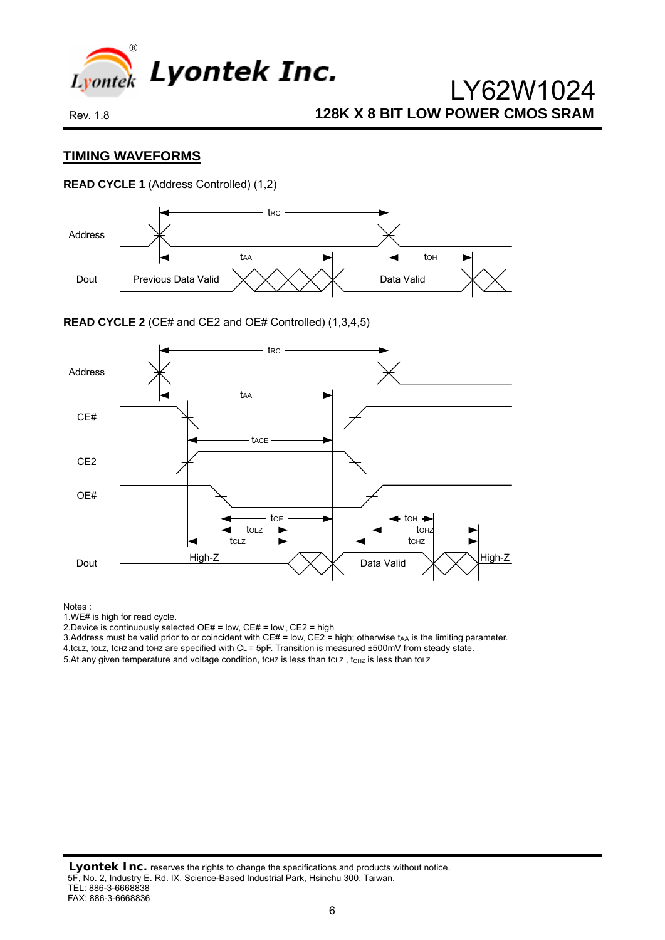

#### **TIMING WAVEFORMS**

**READ CYCLE 1** (Address Controlled) (1,2)



**READ CYCLE 2** (CE# and CE2 and OE# Controlled) (1,3,4,5)



Notes :

1.WE# is high for read cycle.

2. Device is continuously selected OE# = low, CE# = low., CE2 = high.

3. Address must be valid prior to or coincident with  $CE# = low$ ,  $CE2 = high$ ; otherwise tAA is the limiting parameter.

4.tCLZ, tOLZ, tCHZ and tOHZ are specified with CL = 5pF. Transition is measured ±500mV from steady state.

5.At any given temperature and voltage condition, tchz is less than tclz, tohz is less than tolz.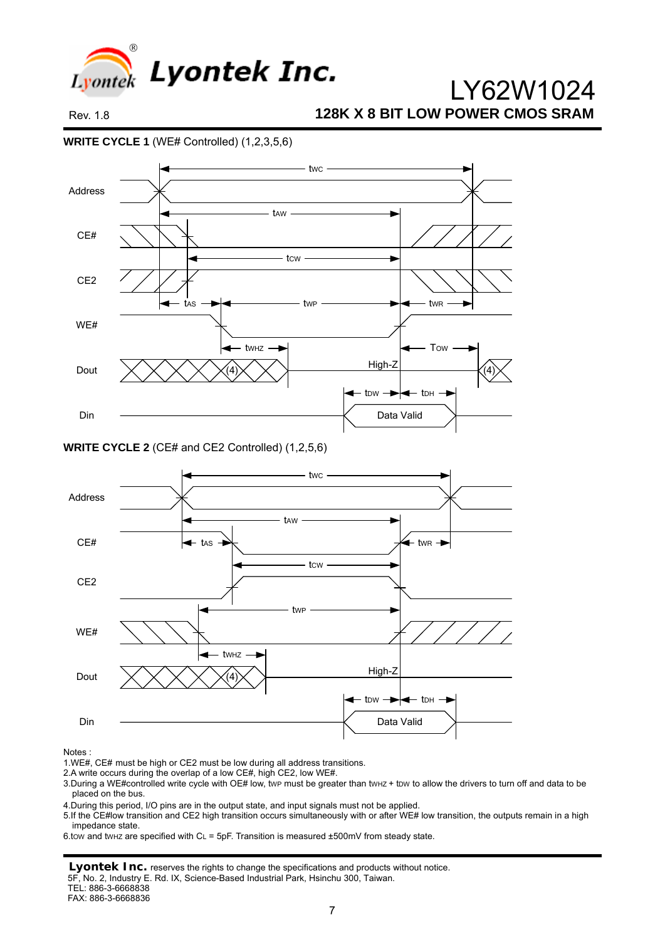

**WRITE CYCLE 1** (WE# Controlled) (1,2,3,5,6)



**WRITE CYCLE 2** (CE# and CE2 Controlled) (1,2,5,6)



Notes :

2.A write occurs during the overlap of a low CE#, high CE2, low WE#.

3. During a WE#controlled write cycle with OE# low, twp must be greater than twHz + tpw to allow the drivers to turn off and data to be placed on the bus.

4.During this period, I/O pins are in the output state, and input signals must not be applied.

5.If the CE#low transition and CE2 high transition occurs simultaneously with or after WE# low transition, the outputs remain in a high impedance state.

6.tow and tw<sub>Hz</sub> are specified with C<sub>L</sub> = 5pF. Transition is measured  $\pm$ 500mV from steady state.

**Lyontek Inc.** reserves the rights to change the specifications and products without notice.

5F, No. 2, Industry E. Rd. IX, Science-Based Industrial Park, Hsinchu 300, Taiwan.

TEL: 886-3-6668838

FAX: 886-3-6668836

<sup>1.</sup>WE#, CE# must be high or CE2 must be low during all address transitions.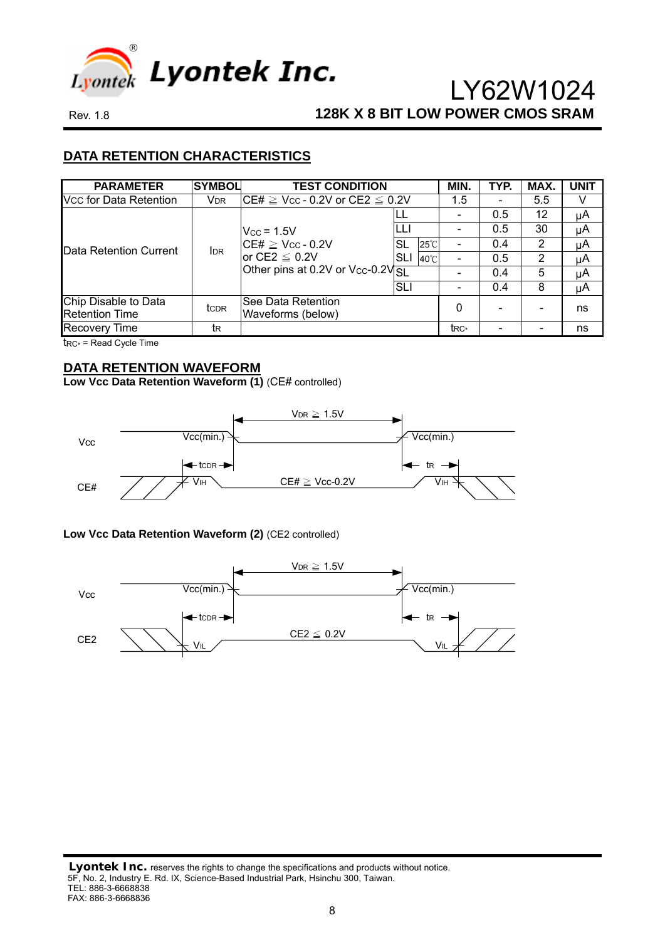

### **DATA RETENTION CHARACTERISTICS**

| <b>PARAMETER</b>                              | <b>SYMBOL</b>         | <b>TEST CONDITION</b>                                                              |     |                | MIN.            | TYP. | MAX. | <b>UNIT</b> |
|-----------------------------------------------|-----------------------|------------------------------------------------------------------------------------|-----|----------------|-----------------|------|------|-------------|
| Vcc for Data Retention                        | <b>V<sub>DR</sub></b> | $\mathsf{ICE#} \geq \mathsf{Vcc}$ - 0.2V or CE2 $\leq$ 0.2V                        |     |                | 1.5             |      | 5.5  |             |
|                                               |                       |                                                                                    |     |                |                 | 0.5  | 12   | μA          |
|                                               |                       | $V_{CC}$ = 1.5V                                                                    |     |                |                 | 0.5  | 30   | μA          |
| Data Retention Current                        | <b>IDR</b>            | $CE# \geq V_{CC} - 0.2V$<br>or CE2 $\leq$ 0.2V<br>Other pins at 0.2V or Vcc-0.2VSL | SL  | $25^{\circ}$ C |                 | 0.4  | 2    | μA          |
|                                               |                       |                                                                                    | SLI | 40°C           |                 | 0.5  | 2    | μA          |
|                                               |                       |                                                                                    |     |                |                 | 0.4  | 5    | μA          |
|                                               |                       |                                                                                    | SLI |                |                 | 0.4  | 8    | μA          |
| Chip Disable to Data<br><b>Retention Time</b> | tc <sub>DR</sub>      | See Data Retention<br>Waveforms (below)                                            |     |                | 0               |      |      | ns          |
| <b>Recovery Time</b>                          | tκ                    |                                                                                    |     |                | t <sub>RC</sub> |      |      | ns          |

tRC\* = Read Cycle Time

## **DATA RETENTION WAVEFORM**

Low Vcc Data Retention Waveform (1) (CE# controlled)



#### Low Vcc Data Retention Waveform (2) (CE2 controlled)

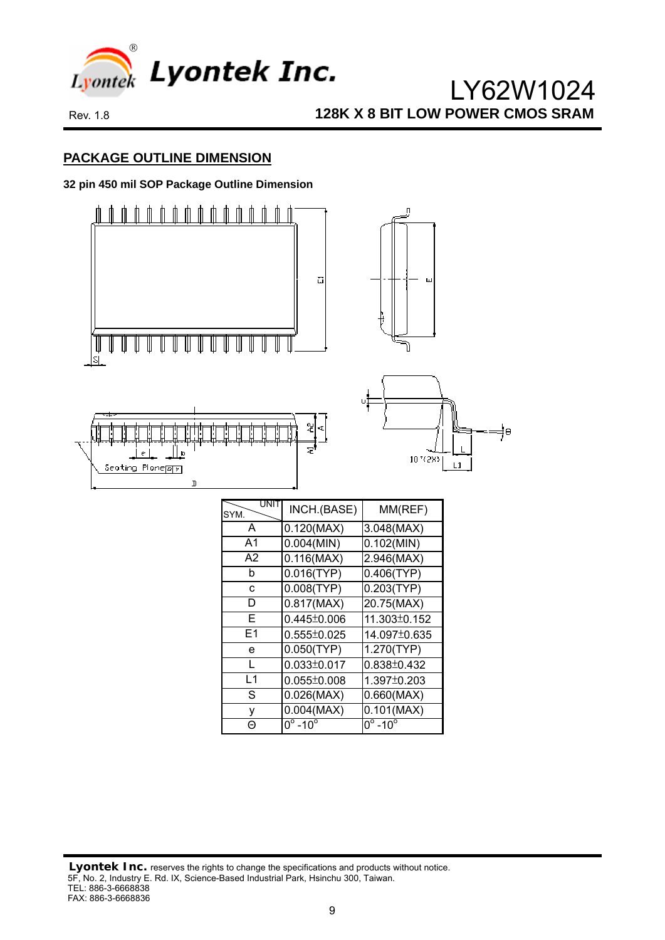

### **PACKAGE OUTLINE DIMENSION**

#### **32 pin 450 mil SOP Package Outline Dimension**

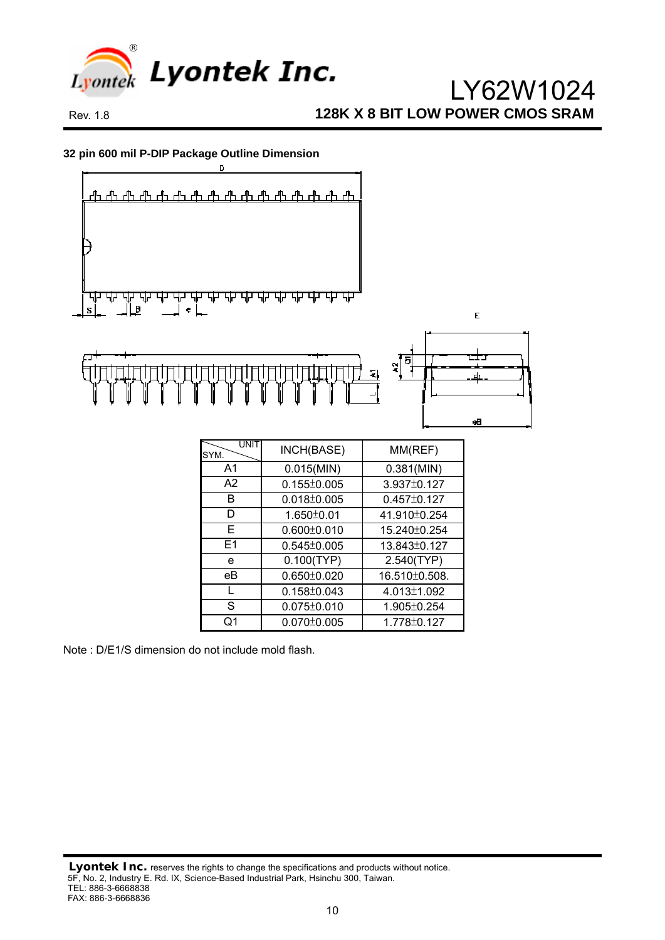

**32 pin 600 mil P-DIP Package Outline Dimension** 



E1 0.545±0.005 13.843±0.127 e 0.100(TYP) 2.540(TYP) eB | 0.650±0.020 | 16.510±0.508. L 0.158±0.043 4.013±1.092 S 0.075±0.010 1.905±0.254 Q1 0.070±0.005 1.778±0.127

Note : D/E1/S dimension do not include mold flash.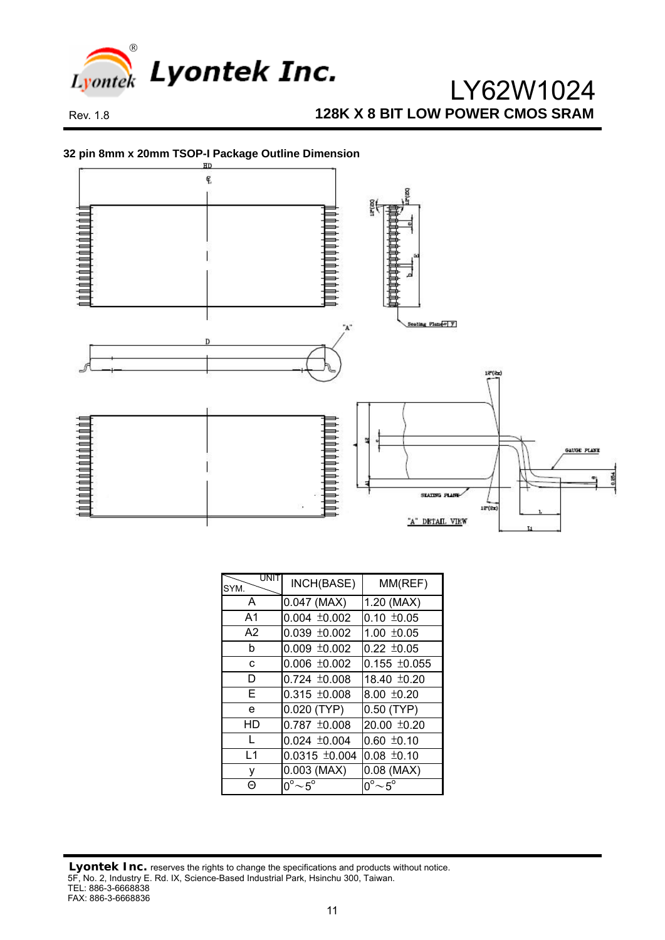

#### **32 pin 8mm x 20mm TSOP-I Package Outline Dimension**



| UNIT<br>SYM.   | INCH(BASE)                | MM(REF)                         |
|----------------|---------------------------|---------------------------------|
| A              | $0.047$ (MAX)             | 1.20 (MAX)                      |
| A <sub>1</sub> | $0.004 \pm 0.002$         | $0.10 \pm 0.05$                 |
| A2             | $0.039 + 0.002$           | $1.00 \pm 0.05$                 |
| b              | $0.009 \pm 0.002$         | $0.22 \pm 0.05$                 |
| C              | $0.006 \pm 0.002$         | $0.155 \pm 0.055$               |
| D              | $0.724 \pm 0.008$         | 18.40 ±0.20                     |
| F              | $0.315 \pm 0.008$         | $8.00 \pm 0.20$                 |
| e              | $0.020$ (TYP)             | $0.50$ (TYP)                    |
| HD             | $0.787 \pm 0.008$         | 20.00 ±0.20                     |
|                | $0.024 \pm 0.004$         | $0.60 \pm 0.10$                 |
| L <sub>1</sub> | $0.0315 \pm 0.004$        | $0.08 \pm 0.10$                 |
| ٧              | $0.003$ (MAX)             | $0.08$ (MAX)                    |
| ℮              | $0^{\circ}$ ~5 $^{\circ}$ | $0^{\circ}$ $\sim$ 5 $^{\circ}$ |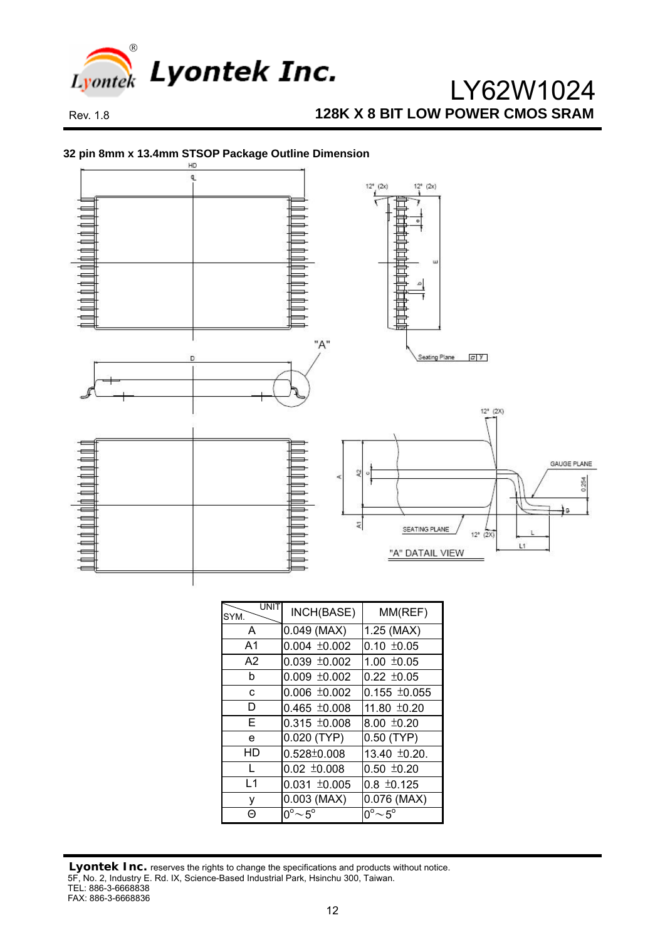

#### **32 pin 8mm x 13.4mm STSOP Package Outline Dimension**



| UNI<br>SYM.    | INCH(BASE)                   | MM(REF)           |  |  |
|----------------|------------------------------|-------------------|--|--|
| A              | $0.049$ (MAX)                | $1.25$ (MAX)      |  |  |
| A <sub>1</sub> | $0.004 \pm 0.002$            | $0.10 \pm 0.05$   |  |  |
| A <sub>2</sub> | $0.039 \pm 0.002$            | $1.00 \pm 0.05$   |  |  |
| b              | $0.009 \pm 0.002$            | $0.22 \pm 0.05$   |  |  |
| C.             | $0.006 \pm 0.002$            | $0.155 \pm 0.055$ |  |  |
| D              | $0.465 \pm 0.008$            | 11.80 ±0.20       |  |  |
| F              | $0.315 \pm 0.008$            | $8.00 \pm 0.20$   |  |  |
| e              | 0.020 (TYP)                  | $0.50$ (TYP)      |  |  |
| HD             | $0.528 \pm 0.008$            | 13.40 ±0.20.      |  |  |
|                | $0.02 \pm 0.008$             | $0.50 \pm 0.20$   |  |  |
| l 1            | $0.031 \pm 0.005$            | $0.8 \pm 0.125$   |  |  |
| ٧              | $0.003$ (MAX)                | 0.076 (MAX)       |  |  |
| A              | $0^{\circ}$ ~ 5 <sup>o</sup> | $0^{\circ}$ ~ 5°  |  |  |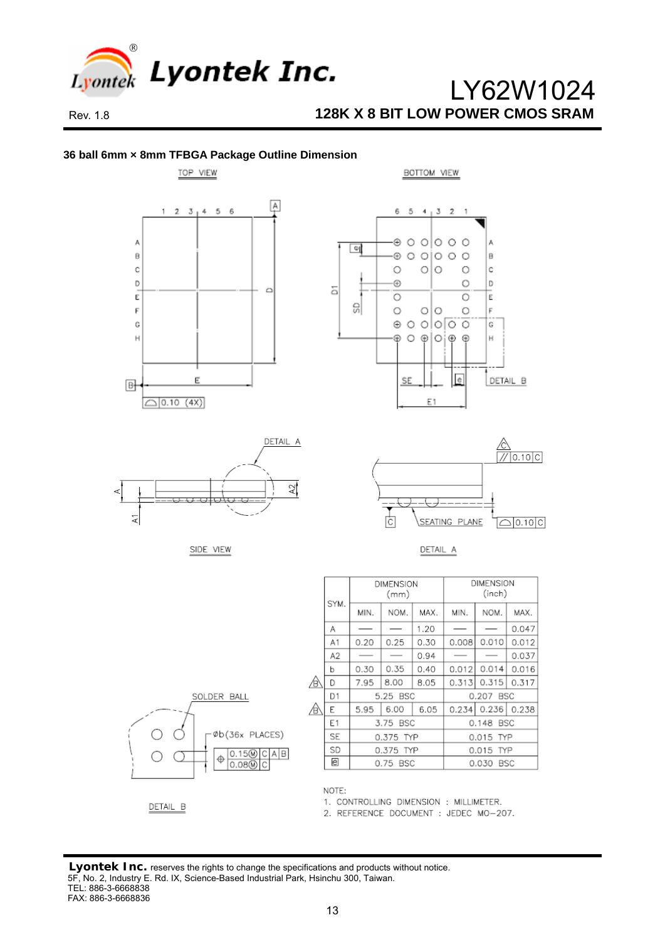







BOTTOM VIEW



SIDE VIEW



**DIMENSION** 

(inch)



| SOLDER BALL                                           |
|-------------------------------------------------------|
| Øb(36x PLACES)<br>$\frac{0.150}{0.080}$<br>D C A<br>в |

|   |                | .        |           |      |           |               |       |
|---|----------------|----------|-----------|------|-----------|---------------|-------|
|   | SYM.           | MIN.     | NOM.      | MAX. | MIN.      | NOM.          | MAX.  |
|   | Α              |          |           | 1.20 |           |               | 0.047 |
|   | A1             | 0.20     | 0.25      | 0.30 | 0.008     | 0.010         | 0.012 |
|   | A <sub>2</sub> |          |           | 0.94 |           |               | 0.037 |
|   | b              | 0.30     | 0.35      | 0.40 | 0.012     | 0.014         | 0.016 |
| ∜ | D              | 7.95     | 8.00      | 8.05 | 0.313     | 0.315         | 0.317 |
|   | D1             | 5.25 BSC |           |      | 0.207 BSC |               |       |
| ₿ | E              | 5.95     | 6.00      | 6.05 |           | $0.234$ 0.236 | 0.238 |
|   | E1             |          | 3.75 BSC  |      | 0.148 BSC |               |       |
|   | <b>SE</b>      |          | 0.375 TYP |      | 0.015 TYP |               |       |
|   | SD             |          | 0.375 TYP |      | 0.015 TYP |               |       |
|   | e              |          | 0.75 BSC  |      | 0.030 BSC |               |       |

**DIMENSION**  $(mm)$ 

DETAIL B

NOTE:

1. CONTROLLING DIMENSION : MILLIMETER.

2. REFERENCE DOCUMENT : JEDEC MO-207.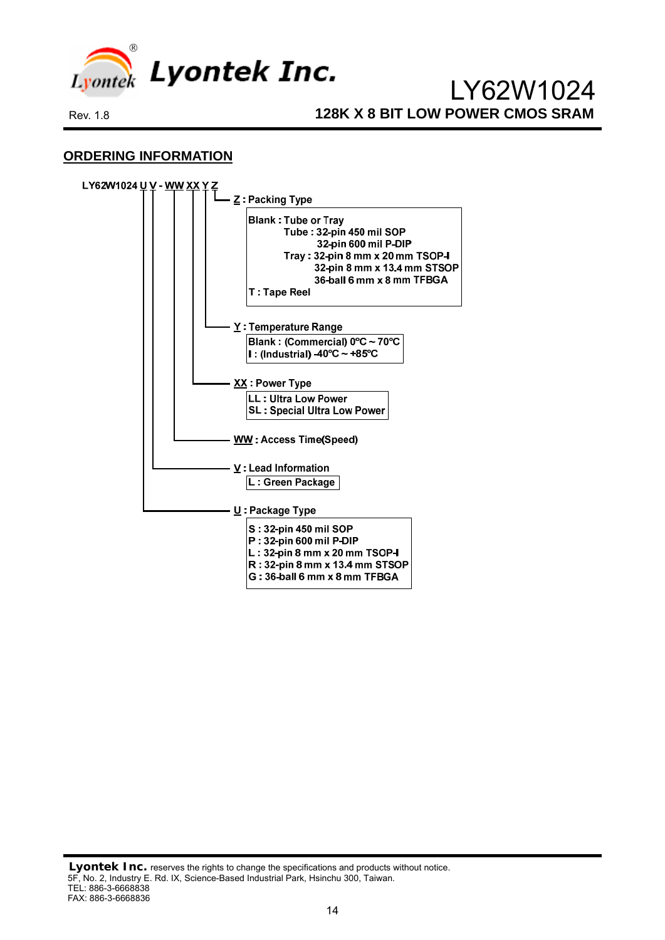

### **ORDERING INFORMATION**